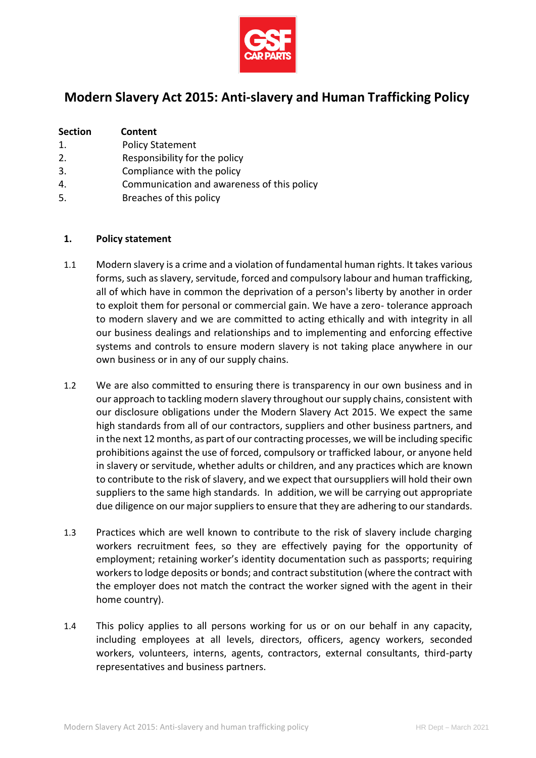

# **Modern Slavery Act 2015: Anti-slavery and Human Trafficking Policy**

| <b>Section</b> | Content                 |
|----------------|-------------------------|
| 1.             | <b>Policy Statement</b> |
|                |                         |

- 2. Responsibility for the policy
- 3. Compliance with the policy
- 4. Communication and awareness of this policy
- 5. Breaches of this policy

#### **1. Policy statement**

- 1.1 Modern slavery is a crime and a violation of fundamental human rights. It takes various forms, such as slavery, servitude, forced and compulsory labour and human trafficking, all of which have in common the deprivation of a person's liberty by another in order to exploit them for personal or commercial gain. We have a zero- tolerance approach to modern slavery and we are committed to acting ethically and with integrity in all our business dealings and relationships and to implementing and enforcing effective systems and controls to ensure modern slavery is not taking place anywhere in our own business or in any of our supply chains.
- 1.2 We are also committed to ensuring there is transparency in our own business and in our approach to tackling modern slavery throughout our supply chains, consistent with our disclosure obligations under the Modern Slavery Act 2015. We expect the same high standards from all of our contractors, suppliers and other business partners, and in the next 12 months, as part of our contracting processes, we will be including specific prohibitions against the use of forced, compulsory or trafficked labour, or anyone held in slavery or servitude, whether adults or children, and any practices which are known to contribute to the risk of slavery, and we expect that oursuppliers will hold their own suppliers to the same high standards. In addition, we will be carrying out appropriate due diligence on our major suppliers to ensure that they are adhering to our standards.
- 1.3 Practices which are well known to contribute to the risk of slavery include charging workers recruitment fees, so they are effectively paying for the opportunity of employment; retaining worker's identity documentation such as passports; requiring workers to lodge deposits or bonds; and contract substitution (where the contract with the employer does not match the contract the worker signed with the agent in their home country).
- 1.4 This policy applies to all persons working for us or on our behalf in any capacity, including employees at all levels, directors, officers, agency workers, seconded workers, volunteers, interns, agents, contractors, external consultants, third-party representatives and business partners.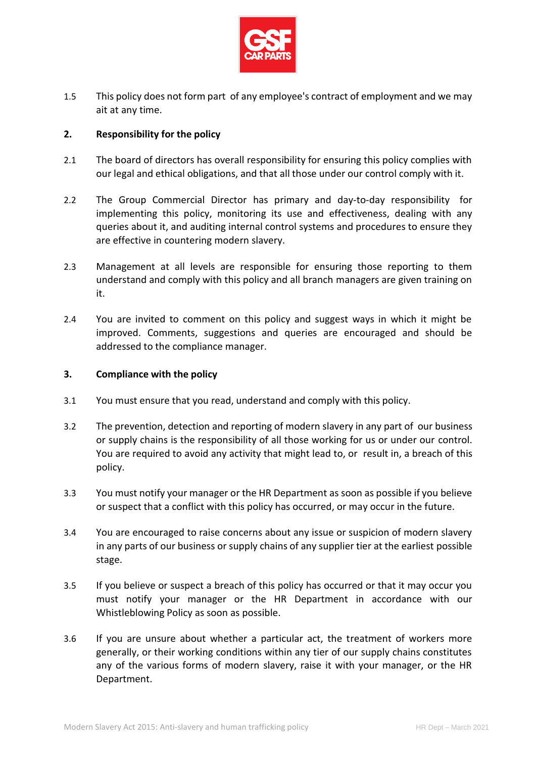

1.5 This policy does not form part of any employee's contract of employment and we may ait at any time.

## **2. Responsibility for the policy**

- 2.1 The board of directors has overall responsibility for ensuring this policy complies with our legal and ethical obligations, and that all those under our control comply with it.
- 2.2 The Group Commercial Director has primary and day-to-day responsibility for implementing this policy, monitoring its use and effectiveness, dealing with any queries about it, and auditing internal control systems and procedures to ensure they are effective in countering modern slavery.
- 2.3 Management at all levels are responsible for ensuring those reporting to them understand and comply with this policy and all branch managers are given training on it.
- 2.4 You are invited to comment on this policy and suggest ways in which it might be improved. Comments, suggestions and queries are encouraged and should be addressed to the compliance manager.

#### **3. Compliance with the policy**

- 3.1 You must ensure that you read, understand and comply with this policy.
- 3.2 The prevention, detection and reporting of modern slavery in any part of our business or supply chains is the responsibility of all those working for us or under our control. You are required to avoid any activity that might lead to, or result in, a breach of this policy.
- 3.3 You must notify your manager or the HR Department as soon as possible if you believe or suspect that a conflict with this policy has occurred, or may occur in the future.
- 3.4 You are encouraged to raise concerns about any issue or suspicion of modern slavery in any parts of our business or supply chains of any supplier tier at the earliest possible stage.
- 3.5 If you believe or suspect a breach of this policy has occurred or that it may occur you must notify your manager or the HR Department in accordance with our Whistleblowing Policy as soon as possible.
- 3.6 If you are unsure about whether a particular act, the treatment of workers more generally, or their working conditions within any tier of our supply chains constitutes any of the various forms of modern slavery, raise it with your manager, or the HR Department.